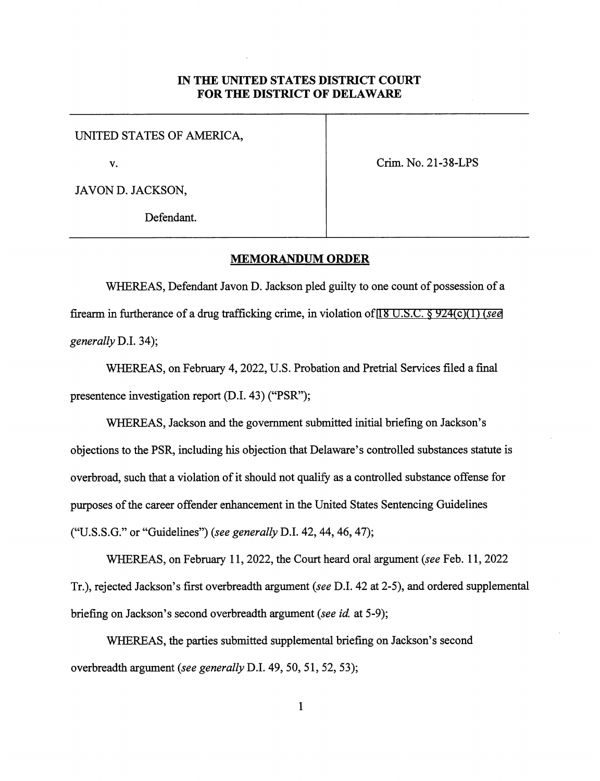## IN THE UNITED STATES DISTRICT COURT FOR THE DISTRICT OF DELAWARE

UNITED STATES OF AMERICA,

v. Crim. No. 21-38-LPS

JAVON D. JACKSON,

Defendant.

## MEMORANDUM ORDER

WHEREAS, Defendant Javon D. Jackson pled guilty to one count of possession of a firearm in furtherance of a drug trafficking crime, in violation of 18 U.S.C.  $\S$  924(c)(1) (see generally D.L 34);

WHEREAS, on February 4,2022, U.S. Probation and Pretrial Services filed a final presentence investigation report (D.I. 43) ("PSR");

WHEREAS, Jackson and the government submitted initial briefing on Jackson's objections to the PSR, including his objection that Delaware's controlled substances statute is overbroad, such that a violation of it should not qualify as a controlled substance offense for purposes of the career offender enhancement in the United States Sentencing Guidelines ("U.S.S.G." or "Guidelines") (see generally D.I. 42, 44, 46, 47);

WHEREAS, on February 11, 2022, the Court heard oral argument (see Feb. 11, 2022) Tr.), rejected Jackson's first overbreadth argument (see D.I. 42 at 2-5), and ordered supplemental briefing on Jackson's second overbreadth argument (see id. at 5-9);

WHEREAS, the parties submitted supplemental briefing on Jackson's second overbreadth argument (see generally D.I. 49, 50, 51, 52,53);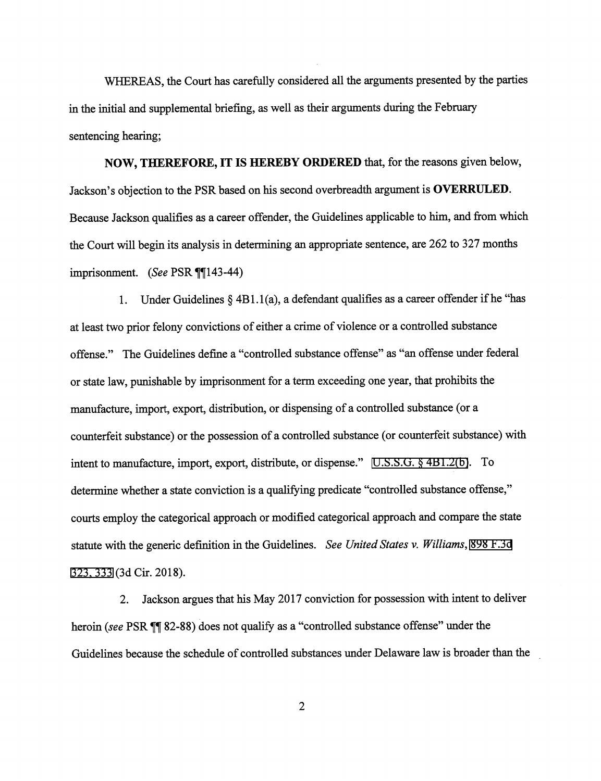WHEREAS, the Court has carefully considered all the arguments presented by the parties in the initial and supplemental briefing, as well as their arguments during the February sentencing hearing;

NOW, THEREFORE, IT IS HEREBY ORDERED that, for the reasons given below, Jackson's objection to the PSR based on his second overbreadth argument is OVERRULED. Because Jackson qualifies as a career offender, the Guidelines applicable to him, and from which the Court will begin its analysis in determining an appropriate sentence, are 262 to 327 months imprisonment. (See PSR  $\P$ [143-44)

1. Under Guidelines § 4B1.1 (a), a defendant qualifies as a career offender if he "has at least two prior felony convictions of either a crime of violence or a controlled substance offense." The Guidelines define a "controlled substance offense" as "an offense under federal or state law, punishable by imprisonment for a term exceeding one year, that prohibits the manufacture, import, export, distribution, or dispensing of a controlled substance (or a counterfeit substance) or the possession of a controlled substance (or counterfeit substance) with intent to manufacture, import, export, distribute, or dispense." [U.S.S.G. § 4B1.2\(b\).](http://www.google.com/search?q=u.s.s.g.s+4b1.2) To determine whether a state conviction is a qualifying predicate "controlled substance offense," courts employ the categorical approach or modified categorical approach and compare the state statute with the generic definition in the Guidelines. See United States v. Williams, [898 F.3d](http://scholar.google.com/scholar?q=898+f.3d++323&btnG=&hl=en&as_sdt=6) [323,333](http://scholar.google.com/scholar?q=898+f.3d++323&btnG=&hl=en&as_sdt=6) (3d Cir. 2018).

2. Jackson argues that his May 2017 conviction for possession with intent to deliver heroin (see PSR  $\P$  82-88) does not qualify as a "controlled substance offense" under the Guidelines because the schedule of controlled substances under Delaware law is broader than the

 $\overline{2}$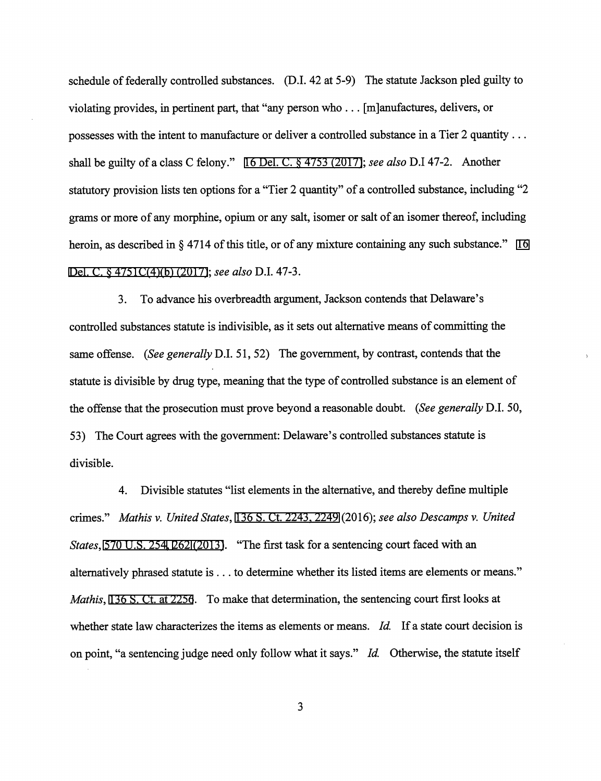schedule of federally controlled substances. (D.L 42 at 5-9) The statute Jackson pled guilty to violating provides, in pertinent part, that "any person who ... [m]anufactures, delivers, or possesses with the intent to manufacture or deliver a controlled substance in a Tier 2 quantity ... shall be guilty of a class C felony." [16 Del. C. § 4753 \(2017\);](http://www.google.com/search?q=16+del.+c.+4753(2017)) see also D.I 47-2. Another statutory provision lists ten options for a "Tier 2 quantity" of a controlled substance, including "2 grams or more of any morphine, opium or any salt, isomer or salt of an isomer thereof, including heroin, as described in § 4714 of this title, or of any mixture containing any such substance." [16](http://www.google.com/search?q=16++del.+c.+4751c(4)(b)(2017)) [Del. C. § 4751C\(4\)\(b\) \(2017\)](http://www.google.com/search?q=16++del.+c.+4751c(4)(b)(2017)); see also D.I. 47-3.

3. To advance his overbreadth argument, Jackson contends that Delaware's controlled substances statute is indivisible, as it sets out alternative means of committing the same offense. (See generally D.I. 51, 52) The government, by contrast, contends that the statute is divisible by drug type, meaning that the type of controlled substance is an element of the offense that the prosecution must prove beyond a reasonable doubt. (See generally D.I. 50, 53) The Court agrees with the government: Delaware's controlled substances statute is divisible.

4. Divisible statutes "list elements in the alternative, and thereby define multiple crimes." Mathis v. United States, [136 S. Ct. 2243,2249 \(](http://scholar.google.com/scholar?q=136+s.+ct.2243&btnG=&hl=en&as_sdt=6)2016); see also Descamps v. United States, [570 U.S. 254](http://www.google.com/search?q=570+u.s.254)[,](http://scholar.google.com/scholar?q=570+u.s.254&btnG=&hl=en&as_sdt=6)[262 \(2013\)](http://www.google.com/search?q=262(2013)). "The first task for a sentencing court faced with an alternatively phrased statute is ... to determine whether its listed items are elements or means." Mathis, [136 S. Ct. at 2256](http://scholar.google.com/scholar?q=136+s.+ct.+2243&btnG=&hl=en&as_sdt=6). To make that determination, the sentencing court first looks at whether state law characterizes the items as elements or means. Id. If a state court decision is on point, "a sentencing judge need only follow what it says." Id. Otherwise, the statute itself

 $\overline{3}$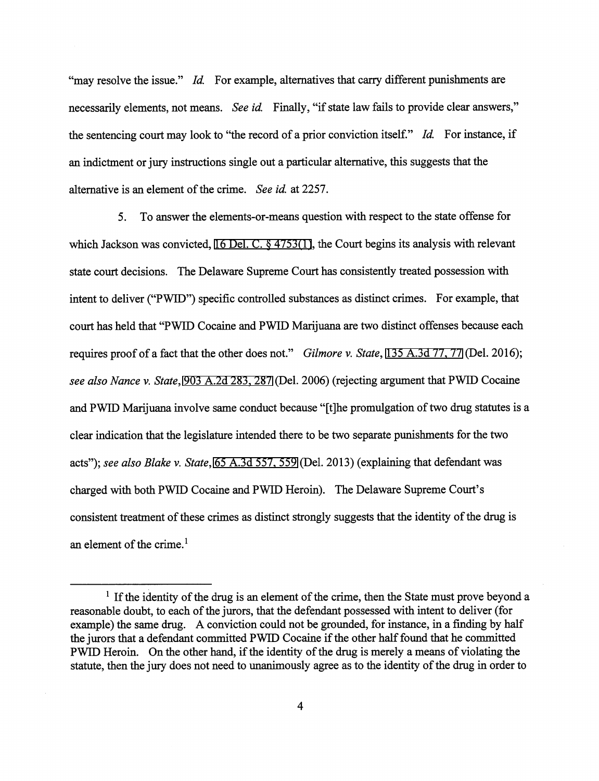"may resolve the issue." Id. For example, alternatives that carry different punishments are necessarily elements, not means. See id. Finally, "if state law fails to provide clear answers," the sentencing court may look to "the record of a prior conviction itself." Id. For instance, if an indictment or jury instructions single out a particular alternative, this suggests that the alternative is an element of the crime. See id. at 2257.

5. To answer the elements-or-means question with respect to the state offense for which Jackson was convicted, [16 Del. C. § 4753\(1\),](http://www.google.com/search?q=16+del.+c.+4753(1)) the Court begins its analysis with relevant state court decisions. The Delaware Supreme Court has consistently treated possession with intent to deliver ("PWID") specific controlled substances as distinct crimes. For example, that court has held that "PWID Cocaine and PWID Marijuana are two distinct offenses because each requires proof of a fact that the other does not." Gilmore v. State, 135 A.3d 77, 77 (Del. 2016); see also Nance v. State, 903 A.2d 283, 287 (Del. 2006) (rejecting argument that PWID Cocaine and PWID Marijuana involve same conduct because "[t]he promulgation of two drug statutes is a clear indication that the legislature intended there to be two separate punishments for the two acts"); see also Blake v. State, [65 A.3d 557, 559](http://scholar.google.com/scholar?q=65+a.3d+557&btnG=&hl=en&as_sdt=6) [\(](http://scholar.google.com/scholar?q=65+a.3d+557&btnG=&hl=en&as_sdt=6)Del. 2013) (explaining that defendant was charged with both PWID Cocaine and PWID Heroin). The Delaware Supreme Court's consistent treatment of these crimes as distinct strongly suggests that the identity of the drug is an element of the crime. $<sup>1</sup>$ </sup>

 $<sup>1</sup>$  If the identity of the drug is an element of the crime, then the State must prove beyond a</sup> reasonable doubt, to each of the jurors, that the defendant possessed with intent to deliver (for example) the same drug. A conviction could not be grounded, for instance, in a finding by half the jurors that a defendant committed PWID Cocaine if the other half found that he committed PWID Heroin. On the other hand, if the identity of the drug is merely a means of violating the statute, then the jury does not need to unanimously agree as to the identity of the drug in order to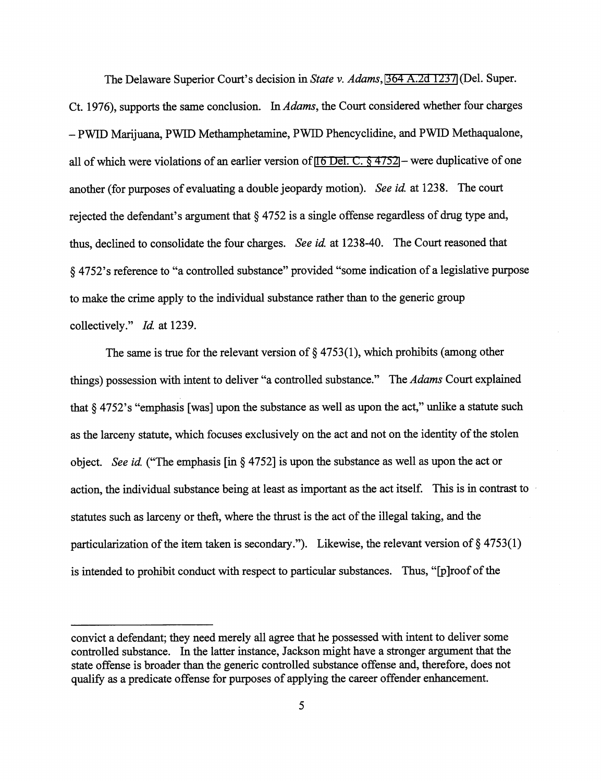The Delaware Superior Court's decision in State v. Adams, [364 A.2d 1237](http://scholar.google.com/scholar?q=364+a.2d+1237&btnG=&hl=en&as_sdt=6) [\(](http://scholar.google.com/scholar?q=364+a.2d+1237&btnG=&hl=en&as_sdt=6)Del. Super. Ct. 1976), supports the same conclusion. In Adams, the Court considered whether four charges - PWID Marijuana, PWID Methamphetamine, PWID Phencyclidine, and PWID Methaqualone, all of which were violations of an earlier version of [16 Del. C. § 4752](http://www.google.com/search?q=16+del.+c.+4752) — were duplicative of one another (for purposes of evaluating a double jeopardy motion). See id. at 1238. The court rejected the defendant's argument that § 4752 is a single offense regardless of drug type and, thus, declined to consolidate the four charges. See id. at 1238-40. The Court reasoned that § 4752's reference to "a controlled substance" provided "some indication of a legislative purpose to make the crime apply to the individual substance rather than to the generic group collectively." *Id.* at 1239.

The same is true for the relevant version of  $\S$  4753(1), which prohibits (among other things) possession with intent to deliver "a controlled substance." The *Adams* Court explained that § 4752's "emphasis [was] upon the substance as well as upon the act," unlike a statute such as the larceny statute, which focuses exclusively on the act and not on the identity of the stolen object. See id. ("The emphasis [in § 4752] is upon the substance as well as upon the act or action, the individual substance being at least as important as the act itself. This is in contrast to statutes such as larceny or theft, where the thrust is the act of the illegal taking, and the particularization of the item taken is secondary."). Likewise, the relevant version of  $\S 4753(1)$ is intended to prohibit conduct with respect to particular substances. Thus, "[p]roof of the

convict a defendant; they need merely all agree that he possessed with intent to deliver some controlled substance. In the latter instance, Jackson might have a stronger argument that the state offense is broader than the generic controlled substance offense and, therefore, does not qualify as a predicate offense for purposes of applying the career offender enhancement.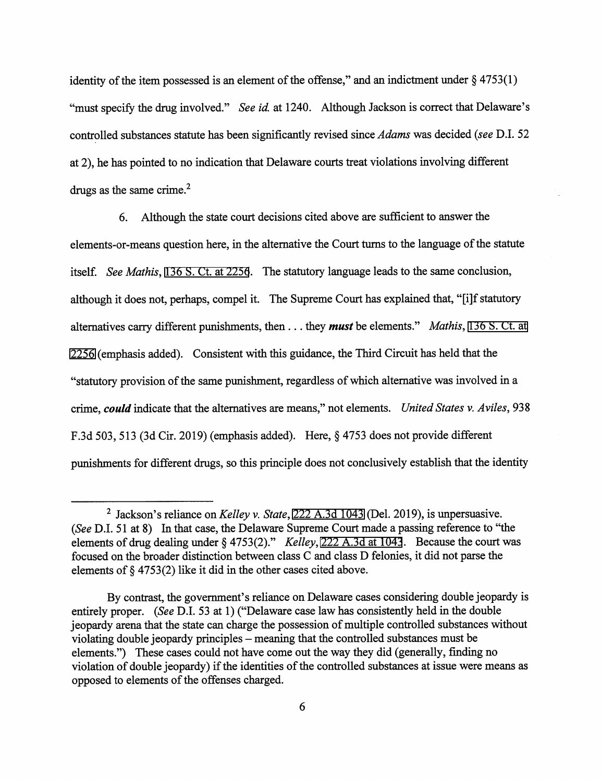identity of the item possessed is an element of the offense," and an indictment under  $\S 4753(1)$ "must specify the drug involved." See id. at 1240. Although Jackson is correct that Delaware's controlled substances statute has been significantly revised since Adams was decided (see D.I. 52 at 2), he has pointed to no indication that Delaware courts treat violations involving different drugs as the same crime. $<sup>2</sup>$ </sup>

6. Although the state court decisions cited above are sufficient to answer the elements-or-means question here, in the alternative the Court tums to the language of the statute itself. See Mathis, [136 S. Ct. at 2256.](http://scholar.google.com/scholar?q=136+s.+ct.+2243&btnG=&hl=en&as_sdt=6) The statutory language leads to the same conclusion, although it does not, perhaps, compel it. The Supreme Court has explained that, "[i]f statutory alternatives carry different punishments, then  $\dots$  they **must** be elements." *Mathis*, [136 S. Ct. at](http://scholar.google.com/scholar?q=136+s.+ct.+2243&btnG=&hl=en&as_sdt=6) [2256](http://scholar.google.com/scholar?q=136+s.+ct.+2243&btnG=&hl=en&as_sdt=6) (emphasis added). Consistent with this guidance, the Third Circuit has held that the "statutory provision of the same punishment, regardless of which altemative was involved in a crime, could indicate that the altematives are means," not elements. United States v. Aviles, 938 F.3d 503,513 (3d Cir. 2019) (emphasis added). Here, § 4753 does not provide different punishments for different drugs, so this principle does not conclusively establish that the identity

 $^2$  Jackson's reliance on Kelley v. State, [222 A.3d 1043 \(](http://scholar.google.com/scholar?q=222+a.3d+1043&btnG=&hl=en&as_sdt=6)Del. 2019), is unpersuasive. {See D.I. 51 at 8) In that case, the Delaware Supreme Court made a passing reference to "the elements of drug dealing under § 4753(2)." Kelley[, 222 A.3d at 1043](http://scholar.google.com/scholar?q=222+a.3d+1043&btnG=&hl=en&as_sdt=6). Because the court was focused on the broader distinction between class C and class D felonies, it did not parse the elements of § 4753(2) like it did in the other cases cited above.

By contrast, the government's reliance on Delaware cases considering double jeopardy is entirely proper. (See D.I. 53 at 1) ("Delaware case law has consistently held in the double jeopardy arena that the state can charge the possession of multiple controlled substances without violating double jeopardy principles – meaning that the controlled substances must be elements.") These cases could not have come out the way they did (generally, finding no violation of double jeopardy) if the identities of the controlled substances at issue were means as opposed to elements of the offenses charged.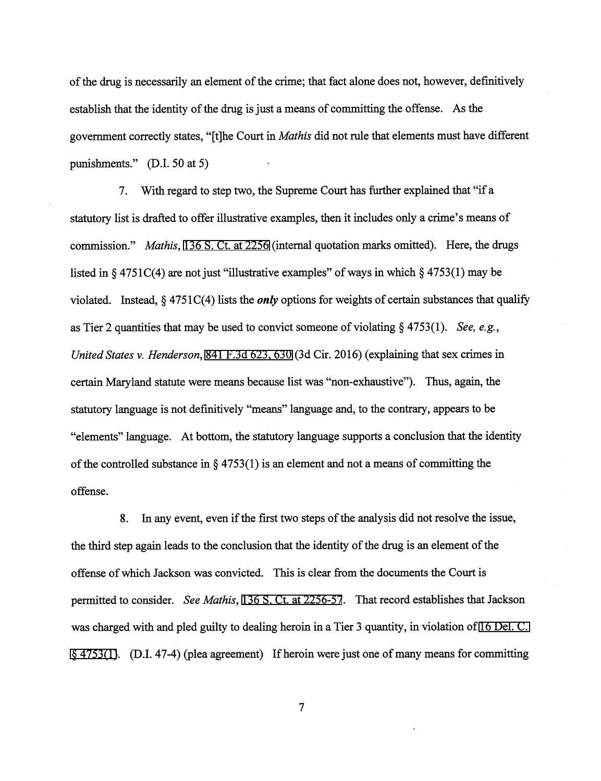of the drug is necessarily an element of the crime; that fact alone does not, however, definitively establish that the identity of the drug is just a means of committing the offense. As the government correctly states, "[t]he Court in Mathis did not rule that elements must have different punishments." (D.I. 50 at 5)

7. With regard to step two, the Supreme Court has further explained that "if a statutory list is drafted to offer illustrative examples, then it includes only a crime's means of commission." Mathis, [136 S. Ct. at 2256](http://scholar.google.com/scholar?q=136+s.+ct.+2243&btnG=&hl=en&as_sdt=6) (internal quotation marks omitted). Here, the drugs listed in § 4751C(4) are not just "illustrative examples" of ways in which § 4753(1) may be violated. Instead,  $\S$  4751C(4) lists the *only* options for weights of certain substances that qualify as Tier 2 quantities that may be used to convict someone of violating § 4753(1). See, e.g., United States v. Henderson, 841 F.3d 623, 630 [\(](http://scholar.google.com/scholar?q=841+f.3d+623&btnG=&hl=en&as_sdt=6)3d Cir. 2016) (explaining that sex crimes in certain Maryland statute were means because list was "non-exhaustive"). Thus, again, the statutory language is not definitively "means" language and, to the contrary, appears to be "elements" language. At bottom, the statutory language supports a conclusion that the identity of the controlled substance in  $\S$  4753(1) is an element and not a means of committing the offense.

8. In any event, even if the first two steps of the analysis did not resolve the issue, the third step again leads to the conclusion that the identity of the drug is an element of the offense of which Jackson was convicted. This is clear firom the documents the Court is permitted to consider. See Mathis, [136 S. Ct. at 2256-57](http://scholar.google.com/scholar?q=136+s.+ct.+2243&btnG=&hl=en&as_sdt=6). That record establishes that Jackson was charged with and pled guilty to dealing heroin in a Tier 3 quantity, in violation of [16 Del. C.](http://www.google.com/search?q=16+del.+c.++++4753(1)) [§ 4753\(1\).](http://www.google.com/search?q=16+del.+c.++++4753(1)) (D.I. 47-4) (plea agreement) If heroin were just one of many means for committing

 $\overline{7}$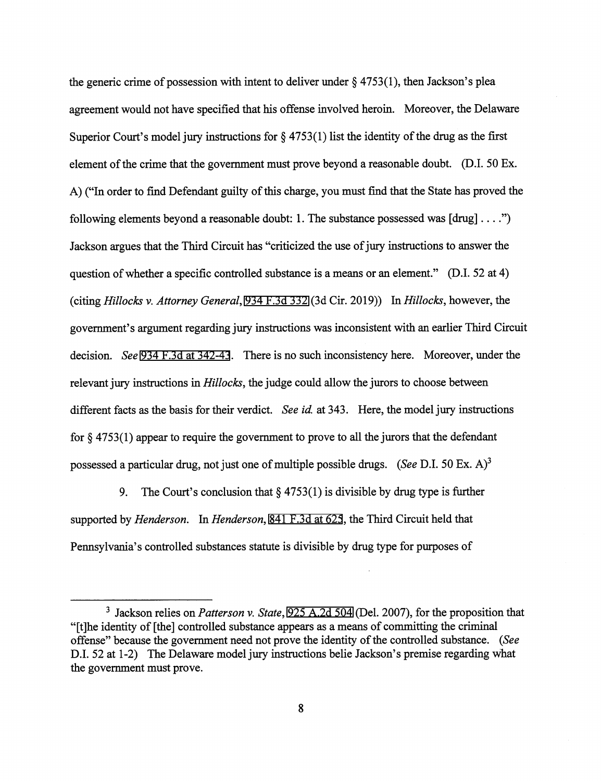the generic crime of possession with intent to deliver under  $\S$  4753(1), then Jackson's plea agreement would not have specified that his offense involved heroin. Moreover, the Delaware Superior Court's model jury instructions for  $\S 4753(1)$  list the identity of the drug as the first element of the crime that the government must prove beyond a reasonable doubt. (D.I. 50 Ex. A) ("In order to find Defendant guilty of this charge, you must find that the State has proved the following elements beyond a reasonable doubt: 1. The substance possessed was  $[drug] \dots$ ") Jackson argues that the Third Circuit has "criticized the use of jury instructions to answer the question of whether a specific controlled substance is a means or an element." (D.I. 52 at 4) (citing Hillocks v. Attorney General, [934 F.3d 332](http://scholar.google.com/scholar?q=934+f.3d+332&btnG=&hl=en&as_sdt=6) [\(](http://scholar.google.com/scholar?q=934+f.3d+332&btnG=&hl=en&as_sdt=6)3d Cir. 2019)) In Hillocks, however, the government's argument regarding jury instructions was inconsistent with an earlier Third Circuit decision. See [934 F.3d at 342-43.](http://scholar.google.com/scholar?q=934+f.3d+332&btnG=&hl=en&as_sdt=6) There is no such inconsistency here. Moreover, under the relevant jury instructions in *Hillocks*, the judge could allow the jurors to choose between different facts as the basis for their verdict. See id. at 343. Here, the model jury instructions for  $\S$  4753(1) appear to require the government to prove to all the jurors that the defendant possessed a particular drug, not just one of multiple possible drugs. (See D.I. 50 Ex. A)<sup>3</sup>

9. The Court's conclusion that § 4753(1) is divisible by drug type is further supported by *Henderson.* In *Henderson*, [841 F.3d at 625,](http://scholar.google.com/scholar?q=841+f.3d+623&btnG=&hl=en&as_sdt=6) the Third Circuit held that Pennsylvania's controlled substances statute is divisible by drug type for purposes of

 $3$  Jackson relies on *Patterson v. State*, [925 A.2d 504](http://scholar.google.com/scholar?q=925+a.2d+504&btnG=&hl=en&as_sdt=6) [\(](http://scholar.google.com/scholar?q=925+a.2d+504&btnG=&hl=en&as_sdt=6)Del. 2007), for the proposition that "[t]he identity of [the] controlled substance appears as a means of committing the criminal offense" because the government need not prove the identity of the controlled substance. (See D.I. 52 at 1-2) The Delaware model jury instructions belie Jackson's premise regarding what the government must prove.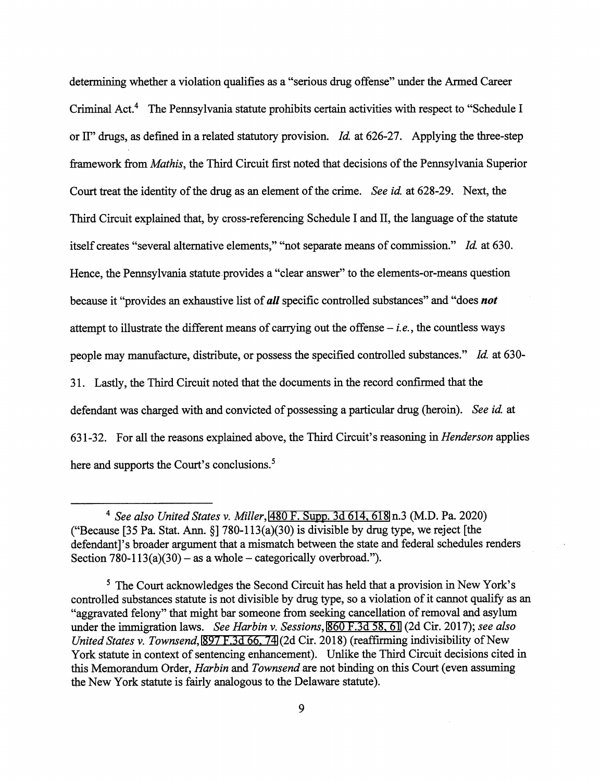determining whether a violation qualifies as a "serious drug offense" under the Armed Career Criminal Act.<sup>4</sup> The Pennsylvania statute prohibits certain activities with respect to "Schedule I or II" drugs, as defined in a related statutory provision. Id. at 626-27. Applying the three-step framework from Mathis, the Third Circuit first noted that decisions of the Pennsylvania Superior Court treat the identity of the drug as an element of the crime. See id. at 628-29. Next, the Third Circuit explained that, by cross-referencing Schedule I and II, the language of the statute itself creates "several alternative elements," "not separate means of commission." Id. at 630. Hence, the Pennsylvania statute provides a "clear answer" to the elements-or-means question because it "provides an exhaustive list of all specific controlled substances" and "does not attempt to illustrate the different means of carrying out the offense  $-i.e.,$  the countless ways people may manufacture, distribute, or possess the specified controlled substances." Id. at 630- 31. Lastly, the Third Circuit noted that the docxunents in the record confirmed that the defendant was charged with and convicted of possessing a particular drug (heroin). See id. at 631-32. For all the reasons explained above, the Third Circuit's reasoning in Henderson applies here and supports the Court's conclusions.<sup>5</sup>

 $^4$  See also United States v. Miller, 480 F. Supp. 3d 614, 618 n.3 (M.D. Pa. 2020) ("Because [35 Pa. Stat. Ann. §] 780-113(a)(30) is divisible by drug type, we reject [the defendant]'s broader argument that a mismatch between the state and federal schedules renders Section  $780-113(a)(30)$  – as a whole – categorically overbroad.").

<sup>&</sup>lt;sup>5</sup> The Court acknowledges the Second Circuit has held that a provision in New York's controlled substances statute is not divisible by drug type, so a violation of it cannot qualify as an "aggravated felony" that might bar someone from seeking cancellation of removal and asylum under the immigration laws. See Harbin v. Sessions[, 860 F.3d 58, 61](http://scholar.google.com/scholar?q=860++f.3d++58&btnG=&hl=en&as_sdt=6) (2d Cir. 2017); see also United States v. Townsend, [897 F.3d 66,74 \(](http://scholar.google.com/scholar?q=897++f.3d++66&btnG=&hl=en&as_sdt=6)2d Cir. 2018) (reaffirming indivisibility of New York statute in context of sentencing enhancement). Unlike the Third Circuit decisions cited in this Memorandum Order, *Harbin* and *Townsend* are not binding on this Court (even assuming the New York statute is fairly analogous to the Delaware statute).